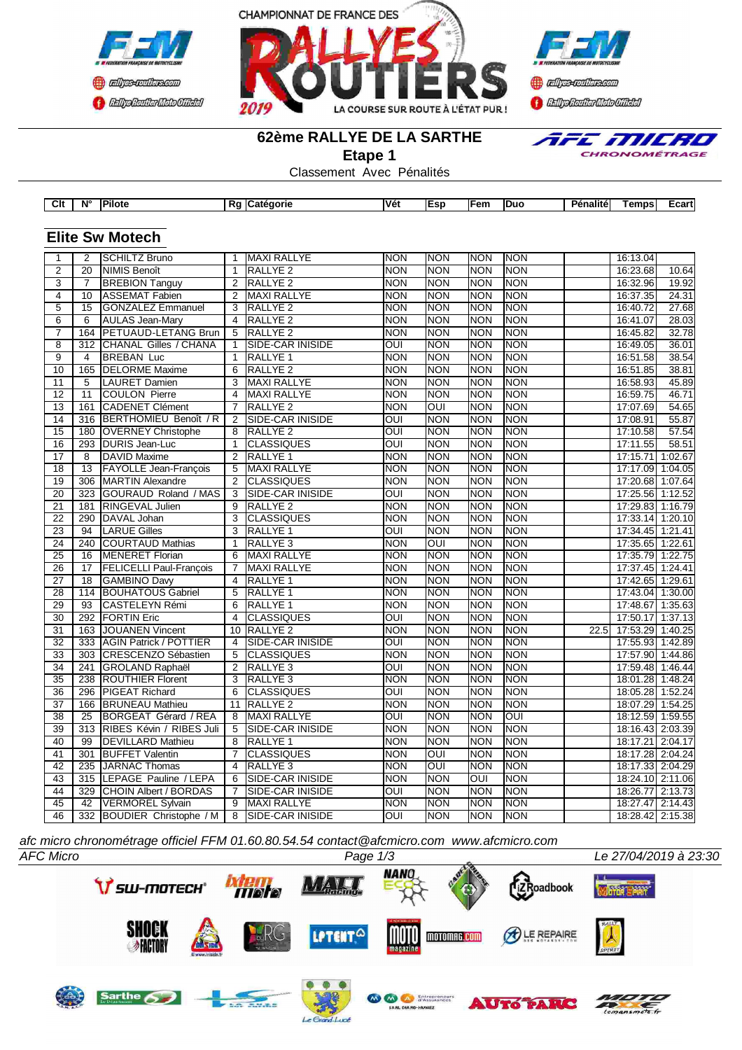





### **62ème RALLYE DE LA SARTHE**

**Etape 1**

Classement Avec Pénalités



| Clt | $N^{\circ}$ | <b>Pilot</b> | . п. | - 1 - - - - - | <b>Vét</b> | .cr<br>-51 | $-$<br>-cn. | <b>Duc</b> | Pénalitél | ēmps | ∠cartl |
|-----|-------------|--------------|------|---------------|------------|------------|-------------|------------|-----------|------|--------|
|     |             |              |      |               |            |            |             |            |           |      |        |

## **Elite Sw Motech**

| <b>INON</b><br>$\overline{2}$<br><b>SCHILTZ Bruno</b><br><b>MAXI RALLYE</b><br><b>NON</b><br><b>NON</b><br>INON<br>16:13.04<br><b>NON</b><br><b>NON</b><br><b>NON</b><br>$\overline{2}$<br>20<br><b>NIMIS Benoît</b><br>$\mathbf{1}$<br><b>RALLYE 2</b><br><b>NON</b><br>10.64<br>16:23.68<br>$\overline{3}$<br><b>BREBION Tanguy</b><br>$\overline{2}$<br><b>RALLYE 2</b><br><b>NON</b><br><b>NON</b><br>19.92<br>$\overline{7}$<br><b>NON</b><br><b>NON</b><br>16:32.96<br><b>ASSEMAT Fabien</b><br><b>MAXI RALLYE</b><br><b>NON</b><br><b>NON</b><br><b>NON</b><br>24.31<br>4<br>10<br>2<br><b>NON</b><br>16:37.35<br>$\overline{5}$<br>$\overline{15}$<br><b>GONZALEZ Emmanuel</b><br><b>RALLYE 2</b><br><b>NON</b><br><b>NON</b><br><b>NON</b><br><b>NON</b><br>27.68<br>3<br>16:40.72<br>6<br>RALLYE <sub>2</sub><br><b>NON</b><br><b>NON</b><br><b>NON</b><br><b>NON</b><br>28.03<br>6<br><b>AULAS Jean-Mary</b><br>$\overline{4}$<br>16:41.07<br>164<br><b>PETUAUD-LETANG Brun</b><br><b>RALLYE 2</b><br><b>NON</b><br><b>NON</b><br>32.78<br>$\overline{7}$<br>5<br><b>NON</b><br><b>NON</b><br>16:45.82<br>36.01<br>$\overline{8}$<br>312<br><b>CHANAL Gilles / CHANA</b><br><b>SIDE-CAR INISIDE</b><br>OUI<br><b>NON</b><br><b>NON</b><br><b>NON</b><br>$\overline{1}$<br>16:49.05<br>38.54<br>$\overline{9}$<br><b>BREBAN Luc</b><br><b>NON</b><br><b>NON</b><br><b>NON</b><br><b>NON</b><br>$\overline{4}$<br><b>RALLYE 1</b><br>16:51.58<br>$\mathbf{1}$<br>165<br><b>DELORME</b> Maxime<br><b>RALLYE 2</b><br><b>NON</b><br><b>NON</b><br><b>NON</b><br><b>NON</b><br>38.81<br>10<br>6<br>16:51.85<br><b>LAURET Damien</b><br>$\overline{3}$<br><b>MAXI RALLYE</b><br><b>NON</b><br><b>NON</b><br><b>NON</b><br>45.89<br>11<br>5<br><b>NON</b><br>16:58.93<br>$\overline{12}$<br>$\overline{11}$<br><b>COULON Pierre</b><br><b>MAXI RALLYE</b><br><b>NON</b><br><b>NON</b><br><b>NON</b><br><b>NON</b><br>46.71<br>$\overline{4}$<br>16:59.75<br>161<br><b>CADENET Clément</b><br>OUI<br><b>NON</b><br><b>NON</b><br>54.65<br>13<br><b>RALLYE 2</b><br><b>NON</b><br>17:07.69<br>$\overline{7}$<br><b>BERTHOMIEU Benoît / R</b><br><b>NON</b><br>55.87<br>14<br>$\overline{2}$<br>SIDE-CAR INISIDE<br>$\overline{\text{OUI}}$<br><b>NON</b><br><b>NON</b><br>17:08.91<br>316<br>15<br><b>RALLYE 2</b><br>OUI<br><b>NON</b><br><b>NON</b><br><b>NON</b><br>57.54<br>180<br><b>OVERNEY Christophe</b><br>8<br>17:10.58<br><b>DURIS Jean-Luc</b><br><b>CLASSIQUES</b><br>$\overline{O}$<br><b>NON</b><br><b>NON</b><br>58.51<br>16<br>293<br>$\mathbf{1}$<br><b>NON</b><br>17:11.55<br>$\overline{17}$<br>RALLYE <sub>1</sub><br><b>NON</b><br><b>NON</b><br>NON<br><b>NON</b><br>1:02.67<br>$\overline{8}$<br><b>DAVID Maxime</b><br>$\overline{2}$<br>17:15.71<br>$\overline{18}$<br>$\overline{13}$<br>FAYOLLE Jean-François<br><b>MAXI RALLYE</b><br><b>NON</b><br><b>NON</b><br><b>NON</b><br><b>NON</b><br>17:17.09<br>1:04.05<br>$\overline{5}$<br>$\overline{19}$<br><b>NON</b><br><b>NON</b><br><b>NON</b><br>17:20.68 1:07.64<br>306<br><b>MARTIN Alexandre</b><br>2<br><b>CLASSIQUES</b><br><b>NON</b><br>$\overline{\text{out}}$<br>NON<br>$\overline{20}$<br>323<br>GOURAUD Roland / MAS<br>$\overline{3}$<br><b>SIDE-CAR INISIDE</b><br><b>NON</b><br><b>NON</b><br>17:25.56 1:12.52<br>$\overline{21}$<br>181<br><b>RINGEVAL Julien</b><br><b>RALLYE 2</b><br><b>NON</b><br><b>NON</b><br><b>NON</b><br><b>NON</b><br>17:29.83 1:16.79<br>9<br><b>CLASSIQUES</b><br><b>NON</b><br><b>NON</b><br><b>NON</b><br><b>NON</b><br>22<br>290<br>DAVAL Johan<br>3<br>17:33.14 1:20.10<br>$\overline{\text{OUI}}$<br><b>NON</b><br><b>NON</b><br>23<br>$\overline{94}$<br><b>LARUE Gilles</b><br>$\overline{3}$<br><b>RALLYE 1</b><br><b>NON</b><br>17:34.45 1:21.41 |
|----------------------------------------------------------------------------------------------------------------------------------------------------------------------------------------------------------------------------------------------------------------------------------------------------------------------------------------------------------------------------------------------------------------------------------------------------------------------------------------------------------------------------------------------------------------------------------------------------------------------------------------------------------------------------------------------------------------------------------------------------------------------------------------------------------------------------------------------------------------------------------------------------------------------------------------------------------------------------------------------------------------------------------------------------------------------------------------------------------------------------------------------------------------------------------------------------------------------------------------------------------------------------------------------------------------------------------------------------------------------------------------------------------------------------------------------------------------------------------------------------------------------------------------------------------------------------------------------------------------------------------------------------------------------------------------------------------------------------------------------------------------------------------------------------------------------------------------------------------------------------------------------------------------------------------------------------------------------------------------------------------------------------------------------------------------------------------------------------------------------------------------------------------------------------------------------------------------------------------------------------------------------------------------------------------------------------------------------------------------------------------------------------------------------------------------------------------------------------------------------------------------------------------------------------------------------------------------------------------------------------------------------------------------------------------------------------------------------------------------------------------------------------------------------------------------------------------------------------------------------------------------------------------------------------------------------------------------------------------------------------------------------------------------------------------------------------------------------------------------------------------------------------------------------------------------------------------------------------------------------------------------------------------------------------------------------------------------------------------------------------------------------------------------------------------------------------------------------------------------------------------------------------------------------------------------------------------------------------------------------------------------------------------------------------------------------------------------------------------------------------------------------------------------|
|                                                                                                                                                                                                                                                                                                                                                                                                                                                                                                                                                                                                                                                                                                                                                                                                                                                                                                                                                                                                                                                                                                                                                                                                                                                                                                                                                                                                                                                                                                                                                                                                                                                                                                                                                                                                                                                                                                                                                                                                                                                                                                                                                                                                                                                                                                                                                                                                                                                                                                                                                                                                                                                                                                                                                                                                                                                                                                                                                                                                                                                                                                                                                                                                                                                                                                                                                                                                                                                                                                                                                                                                                                                                                                                                                                                        |
|                                                                                                                                                                                                                                                                                                                                                                                                                                                                                                                                                                                                                                                                                                                                                                                                                                                                                                                                                                                                                                                                                                                                                                                                                                                                                                                                                                                                                                                                                                                                                                                                                                                                                                                                                                                                                                                                                                                                                                                                                                                                                                                                                                                                                                                                                                                                                                                                                                                                                                                                                                                                                                                                                                                                                                                                                                                                                                                                                                                                                                                                                                                                                                                                                                                                                                                                                                                                                                                                                                                                                                                                                                                                                                                                                                                        |
|                                                                                                                                                                                                                                                                                                                                                                                                                                                                                                                                                                                                                                                                                                                                                                                                                                                                                                                                                                                                                                                                                                                                                                                                                                                                                                                                                                                                                                                                                                                                                                                                                                                                                                                                                                                                                                                                                                                                                                                                                                                                                                                                                                                                                                                                                                                                                                                                                                                                                                                                                                                                                                                                                                                                                                                                                                                                                                                                                                                                                                                                                                                                                                                                                                                                                                                                                                                                                                                                                                                                                                                                                                                                                                                                                                                        |
|                                                                                                                                                                                                                                                                                                                                                                                                                                                                                                                                                                                                                                                                                                                                                                                                                                                                                                                                                                                                                                                                                                                                                                                                                                                                                                                                                                                                                                                                                                                                                                                                                                                                                                                                                                                                                                                                                                                                                                                                                                                                                                                                                                                                                                                                                                                                                                                                                                                                                                                                                                                                                                                                                                                                                                                                                                                                                                                                                                                                                                                                                                                                                                                                                                                                                                                                                                                                                                                                                                                                                                                                                                                                                                                                                                                        |
|                                                                                                                                                                                                                                                                                                                                                                                                                                                                                                                                                                                                                                                                                                                                                                                                                                                                                                                                                                                                                                                                                                                                                                                                                                                                                                                                                                                                                                                                                                                                                                                                                                                                                                                                                                                                                                                                                                                                                                                                                                                                                                                                                                                                                                                                                                                                                                                                                                                                                                                                                                                                                                                                                                                                                                                                                                                                                                                                                                                                                                                                                                                                                                                                                                                                                                                                                                                                                                                                                                                                                                                                                                                                                                                                                                                        |
|                                                                                                                                                                                                                                                                                                                                                                                                                                                                                                                                                                                                                                                                                                                                                                                                                                                                                                                                                                                                                                                                                                                                                                                                                                                                                                                                                                                                                                                                                                                                                                                                                                                                                                                                                                                                                                                                                                                                                                                                                                                                                                                                                                                                                                                                                                                                                                                                                                                                                                                                                                                                                                                                                                                                                                                                                                                                                                                                                                                                                                                                                                                                                                                                                                                                                                                                                                                                                                                                                                                                                                                                                                                                                                                                                                                        |
|                                                                                                                                                                                                                                                                                                                                                                                                                                                                                                                                                                                                                                                                                                                                                                                                                                                                                                                                                                                                                                                                                                                                                                                                                                                                                                                                                                                                                                                                                                                                                                                                                                                                                                                                                                                                                                                                                                                                                                                                                                                                                                                                                                                                                                                                                                                                                                                                                                                                                                                                                                                                                                                                                                                                                                                                                                                                                                                                                                                                                                                                                                                                                                                                                                                                                                                                                                                                                                                                                                                                                                                                                                                                                                                                                                                        |
|                                                                                                                                                                                                                                                                                                                                                                                                                                                                                                                                                                                                                                                                                                                                                                                                                                                                                                                                                                                                                                                                                                                                                                                                                                                                                                                                                                                                                                                                                                                                                                                                                                                                                                                                                                                                                                                                                                                                                                                                                                                                                                                                                                                                                                                                                                                                                                                                                                                                                                                                                                                                                                                                                                                                                                                                                                                                                                                                                                                                                                                                                                                                                                                                                                                                                                                                                                                                                                                                                                                                                                                                                                                                                                                                                                                        |
|                                                                                                                                                                                                                                                                                                                                                                                                                                                                                                                                                                                                                                                                                                                                                                                                                                                                                                                                                                                                                                                                                                                                                                                                                                                                                                                                                                                                                                                                                                                                                                                                                                                                                                                                                                                                                                                                                                                                                                                                                                                                                                                                                                                                                                                                                                                                                                                                                                                                                                                                                                                                                                                                                                                                                                                                                                                                                                                                                                                                                                                                                                                                                                                                                                                                                                                                                                                                                                                                                                                                                                                                                                                                                                                                                                                        |
|                                                                                                                                                                                                                                                                                                                                                                                                                                                                                                                                                                                                                                                                                                                                                                                                                                                                                                                                                                                                                                                                                                                                                                                                                                                                                                                                                                                                                                                                                                                                                                                                                                                                                                                                                                                                                                                                                                                                                                                                                                                                                                                                                                                                                                                                                                                                                                                                                                                                                                                                                                                                                                                                                                                                                                                                                                                                                                                                                                                                                                                                                                                                                                                                                                                                                                                                                                                                                                                                                                                                                                                                                                                                                                                                                                                        |
|                                                                                                                                                                                                                                                                                                                                                                                                                                                                                                                                                                                                                                                                                                                                                                                                                                                                                                                                                                                                                                                                                                                                                                                                                                                                                                                                                                                                                                                                                                                                                                                                                                                                                                                                                                                                                                                                                                                                                                                                                                                                                                                                                                                                                                                                                                                                                                                                                                                                                                                                                                                                                                                                                                                                                                                                                                                                                                                                                                                                                                                                                                                                                                                                                                                                                                                                                                                                                                                                                                                                                                                                                                                                                                                                                                                        |
|                                                                                                                                                                                                                                                                                                                                                                                                                                                                                                                                                                                                                                                                                                                                                                                                                                                                                                                                                                                                                                                                                                                                                                                                                                                                                                                                                                                                                                                                                                                                                                                                                                                                                                                                                                                                                                                                                                                                                                                                                                                                                                                                                                                                                                                                                                                                                                                                                                                                                                                                                                                                                                                                                                                                                                                                                                                                                                                                                                                                                                                                                                                                                                                                                                                                                                                                                                                                                                                                                                                                                                                                                                                                                                                                                                                        |
|                                                                                                                                                                                                                                                                                                                                                                                                                                                                                                                                                                                                                                                                                                                                                                                                                                                                                                                                                                                                                                                                                                                                                                                                                                                                                                                                                                                                                                                                                                                                                                                                                                                                                                                                                                                                                                                                                                                                                                                                                                                                                                                                                                                                                                                                                                                                                                                                                                                                                                                                                                                                                                                                                                                                                                                                                                                                                                                                                                                                                                                                                                                                                                                                                                                                                                                                                                                                                                                                                                                                                                                                                                                                                                                                                                                        |
|                                                                                                                                                                                                                                                                                                                                                                                                                                                                                                                                                                                                                                                                                                                                                                                                                                                                                                                                                                                                                                                                                                                                                                                                                                                                                                                                                                                                                                                                                                                                                                                                                                                                                                                                                                                                                                                                                                                                                                                                                                                                                                                                                                                                                                                                                                                                                                                                                                                                                                                                                                                                                                                                                                                                                                                                                                                                                                                                                                                                                                                                                                                                                                                                                                                                                                                                                                                                                                                                                                                                                                                                                                                                                                                                                                                        |
|                                                                                                                                                                                                                                                                                                                                                                                                                                                                                                                                                                                                                                                                                                                                                                                                                                                                                                                                                                                                                                                                                                                                                                                                                                                                                                                                                                                                                                                                                                                                                                                                                                                                                                                                                                                                                                                                                                                                                                                                                                                                                                                                                                                                                                                                                                                                                                                                                                                                                                                                                                                                                                                                                                                                                                                                                                                                                                                                                                                                                                                                                                                                                                                                                                                                                                                                                                                                                                                                                                                                                                                                                                                                                                                                                                                        |
|                                                                                                                                                                                                                                                                                                                                                                                                                                                                                                                                                                                                                                                                                                                                                                                                                                                                                                                                                                                                                                                                                                                                                                                                                                                                                                                                                                                                                                                                                                                                                                                                                                                                                                                                                                                                                                                                                                                                                                                                                                                                                                                                                                                                                                                                                                                                                                                                                                                                                                                                                                                                                                                                                                                                                                                                                                                                                                                                                                                                                                                                                                                                                                                                                                                                                                                                                                                                                                                                                                                                                                                                                                                                                                                                                                                        |
|                                                                                                                                                                                                                                                                                                                                                                                                                                                                                                                                                                                                                                                                                                                                                                                                                                                                                                                                                                                                                                                                                                                                                                                                                                                                                                                                                                                                                                                                                                                                                                                                                                                                                                                                                                                                                                                                                                                                                                                                                                                                                                                                                                                                                                                                                                                                                                                                                                                                                                                                                                                                                                                                                                                                                                                                                                                                                                                                                                                                                                                                                                                                                                                                                                                                                                                                                                                                                                                                                                                                                                                                                                                                                                                                                                                        |
|                                                                                                                                                                                                                                                                                                                                                                                                                                                                                                                                                                                                                                                                                                                                                                                                                                                                                                                                                                                                                                                                                                                                                                                                                                                                                                                                                                                                                                                                                                                                                                                                                                                                                                                                                                                                                                                                                                                                                                                                                                                                                                                                                                                                                                                                                                                                                                                                                                                                                                                                                                                                                                                                                                                                                                                                                                                                                                                                                                                                                                                                                                                                                                                                                                                                                                                                                                                                                                                                                                                                                                                                                                                                                                                                                                                        |
|                                                                                                                                                                                                                                                                                                                                                                                                                                                                                                                                                                                                                                                                                                                                                                                                                                                                                                                                                                                                                                                                                                                                                                                                                                                                                                                                                                                                                                                                                                                                                                                                                                                                                                                                                                                                                                                                                                                                                                                                                                                                                                                                                                                                                                                                                                                                                                                                                                                                                                                                                                                                                                                                                                                                                                                                                                                                                                                                                                                                                                                                                                                                                                                                                                                                                                                                                                                                                                                                                                                                                                                                                                                                                                                                                                                        |
|                                                                                                                                                                                                                                                                                                                                                                                                                                                                                                                                                                                                                                                                                                                                                                                                                                                                                                                                                                                                                                                                                                                                                                                                                                                                                                                                                                                                                                                                                                                                                                                                                                                                                                                                                                                                                                                                                                                                                                                                                                                                                                                                                                                                                                                                                                                                                                                                                                                                                                                                                                                                                                                                                                                                                                                                                                                                                                                                                                                                                                                                                                                                                                                                                                                                                                                                                                                                                                                                                                                                                                                                                                                                                                                                                                                        |
|                                                                                                                                                                                                                                                                                                                                                                                                                                                                                                                                                                                                                                                                                                                                                                                                                                                                                                                                                                                                                                                                                                                                                                                                                                                                                                                                                                                                                                                                                                                                                                                                                                                                                                                                                                                                                                                                                                                                                                                                                                                                                                                                                                                                                                                                                                                                                                                                                                                                                                                                                                                                                                                                                                                                                                                                                                                                                                                                                                                                                                                                                                                                                                                                                                                                                                                                                                                                                                                                                                                                                                                                                                                                                                                                                                                        |
|                                                                                                                                                                                                                                                                                                                                                                                                                                                                                                                                                                                                                                                                                                                                                                                                                                                                                                                                                                                                                                                                                                                                                                                                                                                                                                                                                                                                                                                                                                                                                                                                                                                                                                                                                                                                                                                                                                                                                                                                                                                                                                                                                                                                                                                                                                                                                                                                                                                                                                                                                                                                                                                                                                                                                                                                                                                                                                                                                                                                                                                                                                                                                                                                                                                                                                                                                                                                                                                                                                                                                                                                                                                                                                                                                                                        |
| $\overline{24}$<br><b>COURTAUD Mathias</b><br><b>NON</b><br>OUI<br><b>NON</b><br><b>NON</b><br>17:35.65 1:22.61<br>240<br>$\mathbf{1}$<br>RALLYE <sub>3</sub>                                                                                                                                                                                                                                                                                                                                                                                                                                                                                                                                                                                                                                                                                                                                                                                                                                                                                                                                                                                                                                                                                                                                                                                                                                                                                                                                                                                                                                                                                                                                                                                                                                                                                                                                                                                                                                                                                                                                                                                                                                                                                                                                                                                                                                                                                                                                                                                                                                                                                                                                                                                                                                                                                                                                                                                                                                                                                                                                                                                                                                                                                                                                                                                                                                                                                                                                                                                                                                                                                                                                                                                                                          |
| <b>MAXI RALLYE</b><br><b>NON</b><br><b>NON</b><br>17:35.79 1:22.75<br>$\overline{25}$<br>16<br><b>MENERET Florian</b><br>6<br><b>NON</b><br><b>NON</b>                                                                                                                                                                                                                                                                                                                                                                                                                                                                                                                                                                                                                                                                                                                                                                                                                                                                                                                                                                                                                                                                                                                                                                                                                                                                                                                                                                                                                                                                                                                                                                                                                                                                                                                                                                                                                                                                                                                                                                                                                                                                                                                                                                                                                                                                                                                                                                                                                                                                                                                                                                                                                                                                                                                                                                                                                                                                                                                                                                                                                                                                                                                                                                                                                                                                                                                                                                                                                                                                                                                                                                                                                                 |
| <b>NON</b><br>$\overline{26}$<br>17<br><b>FELICELLI Paul-François</b><br>$\overline{7}$<br><b>MAXI RALLYE</b><br><b>NON</b><br><b>NON</b><br><b>NON</b><br>17:37.45 1:24.41                                                                                                                                                                                                                                                                                                                                                                                                                                                                                                                                                                                                                                                                                                                                                                                                                                                                                                                                                                                                                                                                                                                                                                                                                                                                                                                                                                                                                                                                                                                                                                                                                                                                                                                                                                                                                                                                                                                                                                                                                                                                                                                                                                                                                                                                                                                                                                                                                                                                                                                                                                                                                                                                                                                                                                                                                                                                                                                                                                                                                                                                                                                                                                                                                                                                                                                                                                                                                                                                                                                                                                                                            |
| $\overline{27}$<br>RALLYE <sub>1</sub><br><b>NON</b><br><b>NON</b><br><b>NON</b><br><b>NON</b><br>17:42.65 1:29.61<br>18<br><b>GAMBINO Davy</b><br>$\overline{4}$                                                                                                                                                                                                                                                                                                                                                                                                                                                                                                                                                                                                                                                                                                                                                                                                                                                                                                                                                                                                                                                                                                                                                                                                                                                                                                                                                                                                                                                                                                                                                                                                                                                                                                                                                                                                                                                                                                                                                                                                                                                                                                                                                                                                                                                                                                                                                                                                                                                                                                                                                                                                                                                                                                                                                                                                                                                                                                                                                                                                                                                                                                                                                                                                                                                                                                                                                                                                                                                                                                                                                                                                                      |
| <b>NON</b><br><b>NON</b><br><b>NON</b><br><b>NON</b><br>17:43.04 1:30.00<br>28<br>114<br><b>BOUHATOUS Gabriel</b><br>$\overline{5}$<br><b>RALLYE 1</b>                                                                                                                                                                                                                                                                                                                                                                                                                                                                                                                                                                                                                                                                                                                                                                                                                                                                                                                                                                                                                                                                                                                                                                                                                                                                                                                                                                                                                                                                                                                                                                                                                                                                                                                                                                                                                                                                                                                                                                                                                                                                                                                                                                                                                                                                                                                                                                                                                                                                                                                                                                                                                                                                                                                                                                                                                                                                                                                                                                                                                                                                                                                                                                                                                                                                                                                                                                                                                                                                                                                                                                                                                                 |
| $\overline{29}$<br>$\overline{93}$<br><b>CASTELEYN Rémi</b><br>$\overline{6}$<br>RALLYE <sub>1</sub><br><b>NON</b><br><b>NON</b><br><b>NON</b><br><b>NON</b><br>17:48.67 1:35.63                                                                                                                                                                                                                                                                                                                                                                                                                                                                                                                                                                                                                                                                                                                                                                                                                                                                                                                                                                                                                                                                                                                                                                                                                                                                                                                                                                                                                                                                                                                                                                                                                                                                                                                                                                                                                                                                                                                                                                                                                                                                                                                                                                                                                                                                                                                                                                                                                                                                                                                                                                                                                                                                                                                                                                                                                                                                                                                                                                                                                                                                                                                                                                                                                                                                                                                                                                                                                                                                                                                                                                                                       |
| <b>NON</b><br><b>NON</b><br>$\overline{30}$<br>292<br><b>FORTIN Eric</b><br><b>CLASSIQUES</b><br>OUI<br><b>NON</b><br>17:50.17 1:37.13<br>$\overline{4}$                                                                                                                                                                                                                                                                                                                                                                                                                                                                                                                                                                                                                                                                                                                                                                                                                                                                                                                                                                                                                                                                                                                                                                                                                                                                                                                                                                                                                                                                                                                                                                                                                                                                                                                                                                                                                                                                                                                                                                                                                                                                                                                                                                                                                                                                                                                                                                                                                                                                                                                                                                                                                                                                                                                                                                                                                                                                                                                                                                                                                                                                                                                                                                                                                                                                                                                                                                                                                                                                                                                                                                                                                               |
| <b>NON</b><br><b>NON</b><br>31<br>163<br>JOUANEN Vincent<br>10<br><b>RALLYE 2</b><br><b>NON</b><br><b>NON</b><br>$\overline{2}$ 2.5<br>17:53.29 1:40.25                                                                                                                                                                                                                                                                                                                                                                                                                                                                                                                                                                                                                                                                                                                                                                                                                                                                                                                                                                                                                                                                                                                                                                                                                                                                                                                                                                                                                                                                                                                                                                                                                                                                                                                                                                                                                                                                                                                                                                                                                                                                                                                                                                                                                                                                                                                                                                                                                                                                                                                                                                                                                                                                                                                                                                                                                                                                                                                                                                                                                                                                                                                                                                                                                                                                                                                                                                                                                                                                                                                                                                                                                                |
| <b>NON</b><br>$\overline{32}$<br>333<br><b>AGIN Patrick / POTTIER</b><br><b>SIDE-CAR INISIDE</b><br>OUI<br><b>NON</b><br><b>NON</b><br>17:55.93 1:42.89<br>$\overline{4}$                                                                                                                                                                                                                                                                                                                                                                                                                                                                                                                                                                                                                                                                                                                                                                                                                                                                                                                                                                                                                                                                                                                                                                                                                                                                                                                                                                                                                                                                                                                                                                                                                                                                                                                                                                                                                                                                                                                                                                                                                                                                                                                                                                                                                                                                                                                                                                                                                                                                                                                                                                                                                                                                                                                                                                                                                                                                                                                                                                                                                                                                                                                                                                                                                                                                                                                                                                                                                                                                                                                                                                                                              |
| 33<br>$\overline{303}$<br><b>CRESCENZO Sébastien</b><br><b>NON</b><br><b>NON</b><br><b>NON</b><br><b>NON</b><br>17:57.90 1:44.86<br>5<br><b>CLASSIQUES</b>                                                                                                                                                                                                                                                                                                                                                                                                                                                                                                                                                                                                                                                                                                                                                                                                                                                                                                                                                                                                                                                                                                                                                                                                                                                                                                                                                                                                                                                                                                                                                                                                                                                                                                                                                                                                                                                                                                                                                                                                                                                                                                                                                                                                                                                                                                                                                                                                                                                                                                                                                                                                                                                                                                                                                                                                                                                                                                                                                                                                                                                                                                                                                                                                                                                                                                                                                                                                                                                                                                                                                                                                                             |
| $\overline{34}$<br>241<br>$\overline{2}$<br>OUI<br><b>NON</b><br><b>NON</b><br>17:59.48 1:46.44<br><b>GROLAND Raphaël</b><br>RALLYE <sub>3</sub><br><b>NON</b>                                                                                                                                                                                                                                                                                                                                                                                                                                                                                                                                                                                                                                                                                                                                                                                                                                                                                                                                                                                                                                                                                                                                                                                                                                                                                                                                                                                                                                                                                                                                                                                                                                                                                                                                                                                                                                                                                                                                                                                                                                                                                                                                                                                                                                                                                                                                                                                                                                                                                                                                                                                                                                                                                                                                                                                                                                                                                                                                                                                                                                                                                                                                                                                                                                                                                                                                                                                                                                                                                                                                                                                                                         |
| 35<br>238<br><b>ROUTHIER Florent</b><br><b>RALLYE 3</b><br><b>NON</b><br><b>NON</b><br><b>NON</b><br><b>NON</b><br>18:01.28 1:48.24<br>3                                                                                                                                                                                                                                                                                                                                                                                                                                                                                                                                                                                                                                                                                                                                                                                                                                                                                                                                                                                                                                                                                                                                                                                                                                                                                                                                                                                                                                                                                                                                                                                                                                                                                                                                                                                                                                                                                                                                                                                                                                                                                                                                                                                                                                                                                                                                                                                                                                                                                                                                                                                                                                                                                                                                                                                                                                                                                                                                                                                                                                                                                                                                                                                                                                                                                                                                                                                                                                                                                                                                                                                                                                               |
| $\overline{36}$<br><b>PIGEAT Richard</b><br>6<br><b>CLASSIQUES</b><br>$\overline{O}$<br><b>NON</b><br><b>NON</b><br><b>NON</b><br>18:05.28 1:52.24<br>296                                                                                                                                                                                                                                                                                                                                                                                                                                                                                                                                                                                                                                                                                                                                                                                                                                                                                                                                                                                                                                                                                                                                                                                                                                                                                                                                                                                                                                                                                                                                                                                                                                                                                                                                                                                                                                                                                                                                                                                                                                                                                                                                                                                                                                                                                                                                                                                                                                                                                                                                                                                                                                                                                                                                                                                                                                                                                                                                                                                                                                                                                                                                                                                                                                                                                                                                                                                                                                                                                                                                                                                                                              |
| $\overline{37}$<br><b>NON</b><br>166<br><b>BRUNEAU Mathieu</b><br><b>RALLYE 2</b><br><b>NON</b><br><b>NON</b><br><b>NON</b><br>1:54.25<br>11<br>18:07.29                                                                                                                                                                                                                                                                                                                                                                                                                                                                                                                                                                                                                                                                                                                                                                                                                                                                                                                                                                                                                                                                                                                                                                                                                                                                                                                                                                                                                                                                                                                                                                                                                                                                                                                                                                                                                                                                                                                                                                                                                                                                                                                                                                                                                                                                                                                                                                                                                                                                                                                                                                                                                                                                                                                                                                                                                                                                                                                                                                                                                                                                                                                                                                                                                                                                                                                                                                                                                                                                                                                                                                                                                               |
| $\overline{OUI}$<br><b>NON</b><br>OUI<br>18:12.59 1:59.55<br>$\overline{38}$<br>$\overline{25}$<br><b>BORGEAT Gérard / REA</b><br><b>MAXI RALLYE</b><br><b>NON</b><br>8                                                                                                                                                                                                                                                                                                                                                                                                                                                                                                                                                                                                                                                                                                                                                                                                                                                                                                                                                                                                                                                                                                                                                                                                                                                                                                                                                                                                                                                                                                                                                                                                                                                                                                                                                                                                                                                                                                                                                                                                                                                                                                                                                                                                                                                                                                                                                                                                                                                                                                                                                                                                                                                                                                                                                                                                                                                                                                                                                                                                                                                                                                                                                                                                                                                                                                                                                                                                                                                                                                                                                                                                                |
| 39<br>313<br>RIBES Kévin / RIBES Juli<br>$\overline{5}$<br><b>NON</b><br><b>NON</b><br><b>NON</b><br><b>NON</b><br>18:16.43 2:03.39<br><b>SIDE-CAR INISIDE</b>                                                                                                                                                                                                                                                                                                                                                                                                                                                                                                                                                                                                                                                                                                                                                                                                                                                                                                                                                                                                                                                                                                                                                                                                                                                                                                                                                                                                                                                                                                                                                                                                                                                                                                                                                                                                                                                                                                                                                                                                                                                                                                                                                                                                                                                                                                                                                                                                                                                                                                                                                                                                                                                                                                                                                                                                                                                                                                                                                                                                                                                                                                                                                                                                                                                                                                                                                                                                                                                                                                                                                                                                                         |
| <b>NON</b><br><b>NON</b><br><b>NON</b><br>40<br>99<br><b>DEVILLARD Mathieu</b><br>8<br><b>RALLYE 1</b><br><b>NON</b><br>18:17.21 2:04.17                                                                                                                                                                                                                                                                                                                                                                                                                                                                                                                                                                                                                                                                                                                                                                                                                                                                                                                                                                                                                                                                                                                                                                                                                                                                                                                                                                                                                                                                                                                                                                                                                                                                                                                                                                                                                                                                                                                                                                                                                                                                                                                                                                                                                                                                                                                                                                                                                                                                                                                                                                                                                                                                                                                                                                                                                                                                                                                                                                                                                                                                                                                                                                                                                                                                                                                                                                                                                                                                                                                                                                                                                                               |
| NON<br><b>BUFFET Valentin</b><br><b>CLASSIQUES</b><br>OUI<br><b>NON</b><br>41<br>301<br>$\overline{7}$<br><b>NON</b><br>18:17.28 2:04.24                                                                                                                                                                                                                                                                                                                                                                                                                                                                                                                                                                                                                                                                                                                                                                                                                                                                                                                                                                                                                                                                                                                                                                                                                                                                                                                                                                                                                                                                                                                                                                                                                                                                                                                                                                                                                                                                                                                                                                                                                                                                                                                                                                                                                                                                                                                                                                                                                                                                                                                                                                                                                                                                                                                                                                                                                                                                                                                                                                                                                                                                                                                                                                                                                                                                                                                                                                                                                                                                                                                                                                                                                                               |
| 42<br>235<br>RALLYE <sub>3</sub><br>$\overline{O}$<br><b>NON</b><br>18:17.33 2:04.29<br>JARNAC Thomas<br>$\overline{4}$<br><b>NON</b><br><b>NON</b>                                                                                                                                                                                                                                                                                                                                                                                                                                                                                                                                                                                                                                                                                                                                                                                                                                                                                                                                                                                                                                                                                                                                                                                                                                                                                                                                                                                                                                                                                                                                                                                                                                                                                                                                                                                                                                                                                                                                                                                                                                                                                                                                                                                                                                                                                                                                                                                                                                                                                                                                                                                                                                                                                                                                                                                                                                                                                                                                                                                                                                                                                                                                                                                                                                                                                                                                                                                                                                                                                                                                                                                                                                    |
| $\overline{43}$<br>LEPAGE Pauline / LEPA<br>SIDE-CAR INISIDE<br><b>NON</b><br><b>NON</b><br>loui<br><b>NON</b><br>18:24.10 2:11.06<br>315<br>6                                                                                                                                                                                                                                                                                                                                                                                                                                                                                                                                                                                                                                                                                                                                                                                                                                                                                                                                                                                                                                                                                                                                                                                                                                                                                                                                                                                                                                                                                                                                                                                                                                                                                                                                                                                                                                                                                                                                                                                                                                                                                                                                                                                                                                                                                                                                                                                                                                                                                                                                                                                                                                                                                                                                                                                                                                                                                                                                                                                                                                                                                                                                                                                                                                                                                                                                                                                                                                                                                                                                                                                                                                         |
| 44<br><b>NON</b><br>329<br>CHOIN Albert / BORDAS<br>$\overline{7}$<br>SIDE-CAR INISIDE<br>OUI<br><b>NON</b><br><b>NON</b><br>18:26.77<br>2:13.73                                                                                                                                                                                                                                                                                                                                                                                                                                                                                                                                                                                                                                                                                                                                                                                                                                                                                                                                                                                                                                                                                                                                                                                                                                                                                                                                                                                                                                                                                                                                                                                                                                                                                                                                                                                                                                                                                                                                                                                                                                                                                                                                                                                                                                                                                                                                                                                                                                                                                                                                                                                                                                                                                                                                                                                                                                                                                                                                                                                                                                                                                                                                                                                                                                                                                                                                                                                                                                                                                                                                                                                                                                       |
| 45<br>$\overline{9}$<br><b>MAXI RALLYE</b><br><b>NON</b><br><b>NON</b><br><b>NON</b><br><b>NON</b><br>42<br><b>VERMOREL Sylvain</b><br>18:27.47<br>2:14.43                                                                                                                                                                                                                                                                                                                                                                                                                                                                                                                                                                                                                                                                                                                                                                                                                                                                                                                                                                                                                                                                                                                                                                                                                                                                                                                                                                                                                                                                                                                                                                                                                                                                                                                                                                                                                                                                                                                                                                                                                                                                                                                                                                                                                                                                                                                                                                                                                                                                                                                                                                                                                                                                                                                                                                                                                                                                                                                                                                                                                                                                                                                                                                                                                                                                                                                                                                                                                                                                                                                                                                                                                             |
| 46<br>332 BOUDIER Christophe / M<br>SIDE-CAR INISIDE<br>OUI<br><b>NON</b><br><b>NON</b><br>18:28.42 2:15.38<br>8<br>INON.                                                                                                                                                                                                                                                                                                                                                                                                                                                                                                                                                                                                                                                                                                                                                                                                                                                                                                                                                                                                                                                                                                                                                                                                                                                                                                                                                                                                                                                                                                                                                                                                                                                                                                                                                                                                                                                                                                                                                                                                                                                                                                                                                                                                                                                                                                                                                                                                                                                                                                                                                                                                                                                                                                                                                                                                                                                                                                                                                                                                                                                                                                                                                                                                                                                                                                                                                                                                                                                                                                                                                                                                                                                              |

*afc micro chronométrage officiel FFM 01.60.80.54.54 contact@afcmicro.com www.afcmicro.com*



 $d$ *Luce*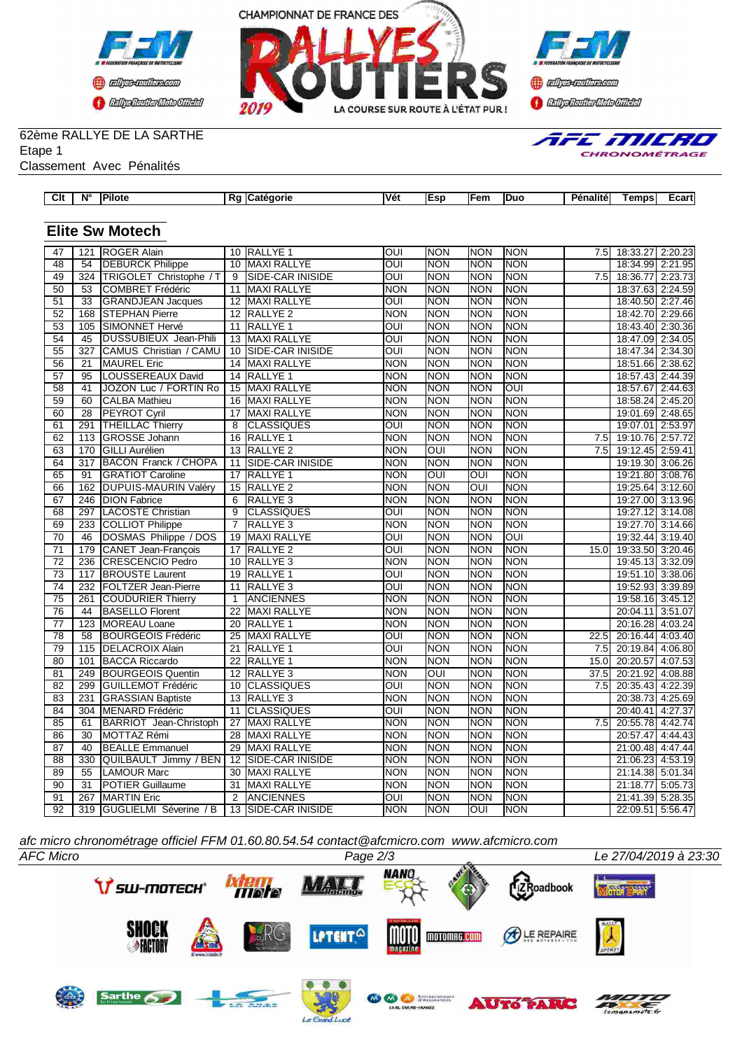





# 62ème RALLYE DE LA SARTHE

Etape 1

Classement Avec Pénalités

| Clt             | N°               | Pilote                        |                 | Rg Catégorie            | Vét                     | Esp                     | lFem       | Duo        | Pénalité | <b>Temps</b>     | Ecart   |
|-----------------|------------------|-------------------------------|-----------------|-------------------------|-------------------------|-------------------------|------------|------------|----------|------------------|---------|
|                 |                  |                               |                 |                         |                         |                         |            |            |          |                  |         |
|                 |                  | <b>Elite Sw Motech</b>        |                 |                         |                         |                         |            |            |          |                  |         |
| 47              | 121              | <b>ROGER Alain</b>            |                 | 10 RALLYE 1             | OUI                     | <b>NON</b>              | <b>NON</b> | <b>NON</b> | 7.5      | 18:33.27         | 2:20.23 |
| 48              | $\overline{54}$  | <b>DEBURCK Philippe</b>       |                 | 10 MAXI RALLYE          | OUI                     | <b>NON</b>              | <b>NON</b> | <b>NON</b> |          | 18:34.99 2:21.95 |         |
| 49              | $\overline{324}$ | TRIGOLET Christophe / T       | $\overline{9}$  | SIDE-CAR INISIDE        | $\overline{\text{OUI}}$ | <b>NON</b>              | <b>NON</b> | <b>NON</b> | 7.5      | 18:36.77 2:23.73 |         |
| $\overline{50}$ | $\overline{53}$  | <b>COMBRET Frédéric</b>       | 11              | <b>MAXI RALLYE</b>      | <b>NON</b>              | <b>NON</b>              | <b>NON</b> | <b>NON</b> |          | 18:37.63 2:24.59 |         |
| $\overline{51}$ | $\overline{33}$  | <b>GRANDJEAN Jacques</b>      |                 | 12 MAXI RALLYE          | $\overline{OUI}$        | <b>NON</b>              | <b>NON</b> | <b>NON</b> |          | 18:40.50 2:27.46 |         |
| 52              | 168              | <b>STEPHAN Pierre</b>         | $\overline{12}$ | RALLYE <sub>2</sub>     | <b>NON</b>              | <b>NON</b>              | <b>NON</b> | <b>NON</b> |          | 18:42.70 2:29.66 |         |
| $\overline{53}$ | 105              | SIMONNET Hervé                | $\overline{11}$ | <b>RALLYE 1</b>         | $\overline{\text{OUI}}$ | <b>NON</b>              | <b>NON</b> | <b>NON</b> |          | 18:43.40 2:30.36 |         |
| $\overline{54}$ | 45               | DUSSUBIEUX Jean-Phili         | 13              | MAXI RALLYE             | OUI                     | <b>NON</b>              | <b>NON</b> | <b>NON</b> |          | 18:47.09         | 2:34.05 |
| 55              | 327              | <b>CAMUS Christian / CAMU</b> | 10              | <b>SIDE-CAR INISIDE</b> | OUI                     | <b>NON</b>              | <b>NON</b> | <b>NON</b> |          | 18:47.34 2:34.30 |         |
| $\overline{56}$ | $\overline{21}$  | <b>MAUREL Eric</b>            | $\overline{14}$ | <b>MAXI RALLYE</b>      | <b>NON</b>              | <b>NON</b>              | <b>NON</b> | <b>NON</b> |          | 18:51.66 2:38.62 |         |
| 57              | $\overline{95}$  | LOUSSEREAUX David             | $\overline{14}$ | <b>RALLYE 1</b>         | <b>NON</b>              | <b>NON</b>              | <b>NON</b> | <b>NON</b> |          | 18:57.43 2:44.39 |         |
| 58              | 41               | JOZON Luc / FORTIN Ro         | 15              | <b>MAXI RALLYE</b>      | <b>NON</b>              | <b>NON</b>              | <b>NON</b> | OUI        |          | 18:57.67         | 2:44.63 |
| 59              | 60               | <b>CALBA Mathieu</b>          | 16              | <b>MAXI RALLYE</b>      | <b>NON</b>              | <b>NON</b>              | <b>NON</b> | <b>NON</b> |          | 18:58.24 2:45.20 |         |
| 60              | 28               | PEYROT Cyril                  | $\overline{17}$ | <b>MAXI RALLYE</b>      | <b>NON</b>              | <b>NON</b>              | <b>NON</b> | <b>NON</b> |          | 19:01.69 2:48.65 |         |
| 61              | 291              | <b>THEILLAC Thierry</b>       | $\overline{8}$  | <b>CLASSIQUES</b>       | $\overline{OUI}$        | <b>NON</b>              | <b>NON</b> | <b>NON</b> |          | 19:07.01 2:53.97 |         |
| 62              | 113              | <b>GROSSE Johann</b>          | 16              | RALLYE <sub>1</sub>     | <b>NON</b>              | <b>NON</b>              | <b>NON</b> | <b>NON</b> | 7.5      | 19:10.76 2:57.72 |         |
| $\overline{63}$ | 170              | <b>GILLI Aurélien</b>         |                 | 13 RALLYE 2             | <b>NON</b>              | $\overline{\text{out}}$ | <b>NON</b> | <b>NON</b> | 7.5      | 19:12.45 2:59.41 |         |
| 64              | 317              | <b>BACON Franck / CHOPA</b>   | 11              | SIDE-CAR INISIDE        | <b>NON</b>              | <b>NON</b>              | <b>NON</b> | <b>NON</b> |          | 19:19.30 3:06.26 |         |
| 65              | 91               | <b>GRATIOT Caroline</b>       | $\overline{17}$ | <b>RALLYE 1</b>         | <b>NON</b>              | $\overline{\text{out}}$ | OUI        | <b>NON</b> |          | 19:21.80 3:08.76 |         |
| 66              | 162              | <b>DUPUIS-MAURIN Valéry</b>   | 15              | <b>RALLYE 2</b>         | <b>NON</b>              | <b>NON</b>              | OUI        | <b>NON</b> |          | 19:25.64         | 3:12.60 |
| 67              | 246              | <b>DION Fabrice</b>           | 6               | RALLYE <sub>3</sub>     | <b>NON</b>              | <b>NON</b>              | <b>NON</b> | <b>NON</b> |          | 19:27.00 3:13.96 |         |
| 68              | 297              | <b>LACOSTE Christian</b>      | $\overline{9}$  | <b>CLASSIQUES</b>       | ОUІ                     | <b>NON</b>              | <b>NON</b> | <b>NON</b> |          | 19:27.12 3:14.08 |         |
| 69              | 233              | COLLIOT Philippe              | $\overline{7}$  | <b>RALLYE 3</b>         | <b>NON</b>              | <b>NON</b>              | <b>NON</b> | <b>NON</b> |          | 19:27.70 3:14.66 |         |
| 70              | 46               | DOSMAS Philippe / DOS         | 19              | <b>MAXI RALLYE</b>      | $\overline{\text{OUI}}$ | <b>NON</b>              | <b>NON</b> | <b>OUI</b> |          | 19:32.44 3:19.40 |         |
| $\overline{71}$ | 179              | CANET Jean-François           | $\overline{17}$ | <b>RALLYE 2</b>         | $\overline{\text{OUI}}$ | <b>NON</b>              | <b>NON</b> | <b>NON</b> | 15.0     | 19:33.50 3:20.46 |         |
| $\overline{72}$ | 236              | CRESCENCIO Pedro              | 10              | RALLYE <sub>3</sub>     | <b>NON</b>              | <b>NON</b>              | <b>NON</b> | <b>NON</b> |          | 19:45.13 3:32.09 |         |
| $\overline{73}$ | 117              | <b>BROUSTE Laurent</b>        | $\overline{19}$ | <b>RALLYE 1</b>         | oui                     | <b>NON</b>              | <b>NON</b> | <b>NON</b> |          | 19:51.10 3:38.06 |         |
| 74              | 232              | <b>FOLTZER Jean-Pierre</b>    | 11              | RALLYE <sub>3</sub>     | OUI                     | <b>NON</b>              | <b>NON</b> | <b>NON</b> |          | 19:52.93         | 3:39.89 |
| $\overline{75}$ | 261              | COUDURIER Thierry             | 1               | <b>ANCIENNES</b>        | <b>NON</b>              | <b>NON</b>              | <b>NON</b> | <b>NON</b> |          | 19:58.16 3:45.12 |         |
| 76              | 44               | <b>BASELLO Florent</b>        | 22              | <b>MAXI RALLYE</b>      | <b>NON</b>              | <b>NON</b>              | <b>NON</b> | <b>NON</b> |          | 20:04.11 3:51.07 |         |
| $\overline{77}$ | 123              | <b>MOREAU Loane</b>           | 20              | <b>RALLYE 1</b>         | <b>NON</b>              | <b>NON</b>              | <b>NON</b> | <b>NON</b> |          | 20:16.28 4:03.24 |         |
| 78              | 58               | <b>BOURGEOIS Frédéric</b>     | $\overline{25}$ | <b>MAXI RALLYE</b>      | $\overline{\text{C}}$   | <b>NON</b>              | <b>NON</b> | <b>NON</b> | 22.5     | 20:16.44 4:03.40 |         |
| $\overline{79}$ | 115              | <b>DELACROIX Alain</b>        | $\overline{21}$ | <b>RALLYE 1</b>         | $\overline{\text{OUI}}$ | <b>NON</b>              | <b>NON</b> | <b>NON</b> | 7.5      | 20:19.84 4:06.80 |         |
| 80              | 101              | <b>BACCA Riccardo</b>         | $\overline{22}$ | <b>RALLYE 1</b>         | <b>NON</b>              | <b>NON</b>              | <b>NON</b> | <b>NON</b> | 15.0     | 20:20.57         | 4:07.53 |
| $\overline{81}$ | 249              | <b>BOURGEOIS Quentin</b>      | $\overline{12}$ | <b>RALLYE 3</b>         | <b>NON</b>              | $\overline{OUI}$        | <b>NON</b> | <b>NON</b> | 37.5     | 20:21.92         | 4:08.88 |
| 82              | 299              | GUILLEMOT Frédéric            | 10              | <b>CLASSIQUES</b>       | OUI                     | <b>NON</b>              | <b>NON</b> | <b>NON</b> | 7.5      | 20:35.43 4:22.39 |         |
| 83              | 231              | <b>GRASSIAN Baptiste</b>      |                 | 13 RALLYE 3             | <b>NON</b>              | <b>NON</b>              | <b>NON</b> | <b>NON</b> |          | 20:38.73 4:25.69 |         |
| 84              | 304              | MENARD Frédéric               | 11              | <b>CLASSIQUES</b>       | OUI                     | <b>NON</b>              | <b>NON</b> | <b>NON</b> |          | 20:40.41 4:27.37 |         |
| 85              | 61               | <b>BARRIOT</b> Jean-Christoph | $\overline{27}$ | <b>MAXI RALLYE</b>      | <b>NON</b>              | <b>NON</b>              | <b>NON</b> | <b>NON</b> | 7.5      | 20:55.78         | 4:42.74 |
| 86              | 30               | MOTTAZ Rémi                   | 28              | <b>MAXI RALLYE</b>      | <b>NON</b>              | <b>NON</b>              | <b>NON</b> | <b>NON</b> |          | 20:57.47         | 4:44.43 |
| $\overline{87}$ | 40               | <b>BEALLE Emmanuel</b>        | $\overline{29}$ | <b>MAXI RALLYE</b>      | <b>NON</b>              | <b>NON</b>              | <b>NON</b> | <b>NON</b> |          | 21:00.48 4:47.44 |         |
| 88              | 330              | QUILBAULT Jimmy / BEN         | $\overline{12}$ | SIDE-CAR INISIDE        | <b>NON</b>              | <b>NON</b>              | <b>NON</b> | <b>NON</b> |          | 21:06.23 4:53.19 |         |
| $\overline{89}$ | $\overline{55}$  | <b>LAMOUR Marc</b>            | $\overline{30}$ | <b>MAXI RALLYE</b>      | <b>NON</b>              | <b>NON</b>              | <b>NON</b> | <b>NON</b> |          | 21:14.38 5:01.34 |         |
| 90              | $\overline{31}$  | <b>POTIER Guillaume</b>       | $\overline{31}$ | <b>MAXI RALLYE</b>      | <b>NON</b>              | <b>NON</b>              | <b>NON</b> | <b>NON</b> |          | 21:18.77 5:05.73 |         |
| $\overline{91}$ |                  | 267 MARTIN Eric               | $\overline{2}$  | <b>ANCIENNES</b>        | $\overline{\text{out}}$ | NON                     | NON        | <b>NON</b> |          | 21:41.39 5:28.35 |         |

*afc micro chronométrage officiel FFM 01.60.80.54.54 contact@afcmicro.com www.afcmicro.com*

Le Grand-Lucé



92 319 GUGLIELMI Séverine / B | 13 SIDE-CAR INISIDE NON NON NON OUI NON | NON 22:09.51 5:56.47